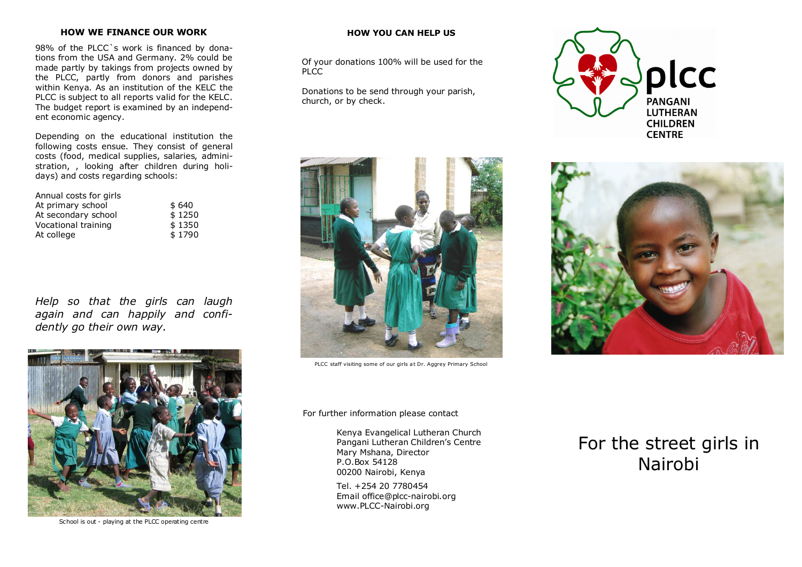# **HOW WE FINANCE OUR WORK**

98% of the PLCC`s work is financed by donations from the USA and Germany. 2% could be made partly by takings from projects owned by the PLCC, partly from donors and parishes within Kenya. As an institution of the KELC the PLCC is subject to all reports valid for the KELC. The budget report is examined by an independent economic agency.

Depending on the educational institution the following costs ensue. They consist of general costs (food, medical supplies, salaries, administration, , looking after children during holidays) and costs regarding schools:

| \$640  |
|--------|
| \$1250 |
| \$1350 |
| \$1790 |
|        |

*Help so that the girls can laugh again and can happily and confidently go their own way.* 



School is out - playing at the PLCC operating centre

## **HOW YOU CAN HELP US**

Of your donations 100% will be used for the PLCC.

Donations to be send through your parish, church, or by check.



PLCC staff visiting some of our girls at Dr. Aggrey Primary School

For further information please contact

Kenya Evangelical Lutheran Church Pangani Lutheran Children's Centre Mary Mshana, Director P.O.Box 54128 00200 Nairobi, Kenya

Tel. +254 20 7780454 Email office@plcc-nairobi.org www.PLCC-Nairobi.org

# For the street girls in Nairobi